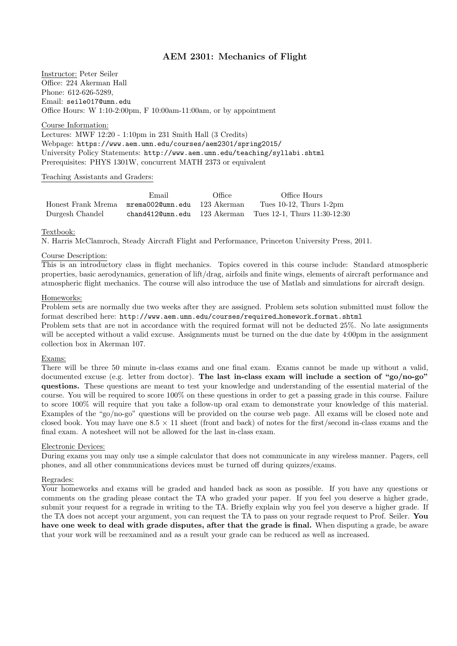# AEM 2301: Mechanics of Flight

Instructor: Peter Seiler Office: 224 Akerman Hall Phone: 612-626-5289, Email: seile017@umn.edu Office Hours: W 1:10-2:00pm, F 10:00am-11:00am, or by appointment

Course Information:

Lectures: MWF 12:20 - 1:10pm in 231 Smith Hall (3 Credits) Webpage: https://www.aem.umn.edu/courses/aem2301/spring2015/ University Policy Statements: http://www.aem.umn.edu/teaching/syllabi.shtml Prerequisites: PHYS 1301W, concurrent MATH 2373 or equivalent

#### Teaching Assistants and Graders:

|                                                 | Email | Office | Office Hours                                                  |
|-------------------------------------------------|-------|--------|---------------------------------------------------------------|
| Honest Frank Mrema mrema0020umn.edu 123 Akerman |       |        | Tues $10-12$ , Thurs $1-2$ pm                                 |
| Durgesh Chandel                                 |       |        | chand4120umn.edu $123$ Akerman Tues 12-1. Thurs $11:30-12:30$ |

Textbook:

N. Harris McClamroch, Steady Aircraft Flight and Performance, Princeton University Press, 2011.

### Course Description:

This is an introductory class in flight mechanics. Topics covered in this course include: Standard atmospheric properties, basic aerodynamics, generation of lift/drag, airfoils and finite wings, elements of aircraft performance and atmospheric flight mechanics. The course will also introduce the use of Matlab and simulations for aircraft design.

## Homeworks:

Problem sets are normally due two weeks after they are assigned. Problem sets solution submitted must follow the format described here: http://www.aem.umn.edu/courses/required homework format.shtml

Problem sets that are not in accordance with the required format will not be deducted 25%. No late assignments will be accepted without a valid excuse. Assignments must be turned on the due date by 4:00pm in the assignment collection box in Akerman 107.

### Exams:

There will be three 50 minute in-class exams and one final exam. Exams cannot be made up without a valid, documented excuse (e.g. letter from doctor). The last in-class exam will include a section of "go/no-go" questions. These questions are meant to test your knowledge and understanding of the essential material of the course. You will be required to score 100% on these questions in order to get a passing grade in this course. Failure to score 100% will require that you take a follow-up oral exam to demonstrate your knowledge of this material. Examples of the "go/no-go" questions will be provided on the course web page. All exams will be closed note and closed book. You may have one  $8.5 \times 11$  sheet (front and back) of notes for the first/second in-class exams and the final exam. A notesheet will not be allowed for the last in-class exam.

### Electronic Devices:

During exams you may only use a simple calculator that does not communicate in any wireless manner. Pagers, cell phones, and all other communications devices must be turned off during quizzes/exams.

#### Regrades:

Your homeworks and exams will be graded and handed back as soon as possible. If you have any questions or comments on the grading please contact the TA who graded your paper. If you feel you deserve a higher grade, submit your request for a regrade in writing to the TA. Briefly explain why you feel you deserve a higher grade. If the TA does not accept your argument, you can request the TA to pass on your regrade request to Prof. Seiler. You have one week to deal with grade disputes, after that the grade is final. When disputing a grade, be aware that your work will be reexamined and as a result your grade can be reduced as well as increased.